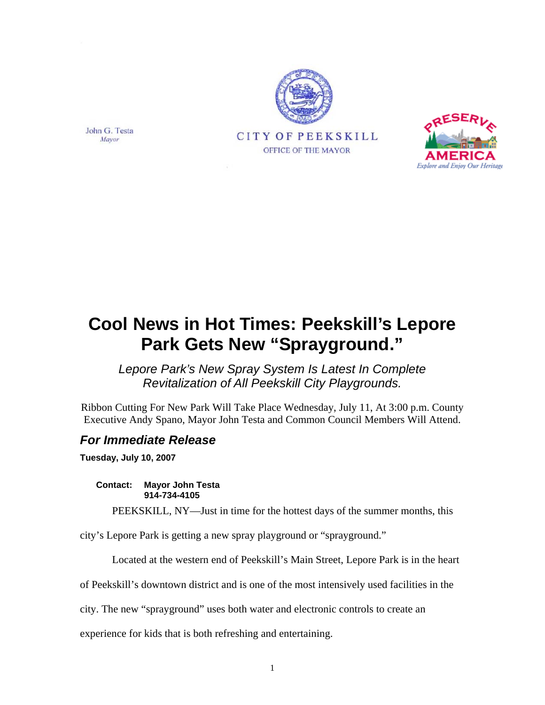





*Lepore Park's New Spray System Is Latest In Complete Revitalization of All Peekskill City Playgrounds.* 

Ribbon Cutting For New Park Will Take Place Wednesday, July 11, At 3:00 p.m. County Executive Andy Spano, Mayor John Testa and Common Council Members Will Attend.

## *For Immediate Release*

**Tuesday, July 10, 2007** 

**Contact: Mayor John Testa 914-734-4105** 

PEEKSKILL, NY—Just in time for the hottest days of the summer months, this

city's Lepore Park is getting a new spray playground or "sprayground."

Located at the western end of Peekskill's Main Street, Lepore Park is in the heart

of Peekskill's downtown district and is one of the most intensively used facilities in the

city. The new "sprayground" uses both water and electronic controls to create an

experience for kids that is both refreshing and entertaining.

John G. Testa Mayor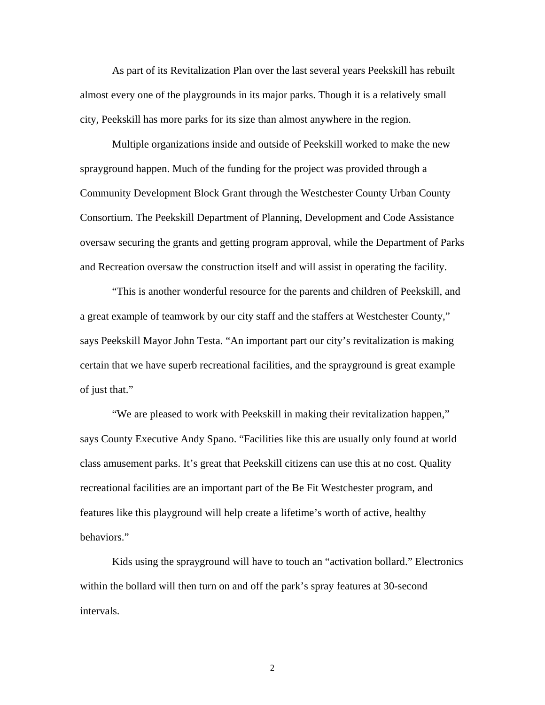As part of its Revitalization Plan over the last several years Peekskill has rebuilt almost every one of the playgrounds in its major parks. Though it is a relatively small city, Peekskill has more parks for its size than almost anywhere in the region.

Multiple organizations inside and outside of Peekskill worked to make the new sprayground happen. Much of the funding for the project was provided through a Community Development Block Grant through the Westchester County Urban County Consortium. The Peekskill Department of Planning, Development and Code Assistance oversaw securing the grants and getting program approval, while the Department of Parks and Recreation oversaw the construction itself and will assist in operating the facility.

"This is another wonderful resource for the parents and children of Peekskill, and a great example of teamwork by our city staff and the staffers at Westchester County," says Peekskill Mayor John Testa. "An important part our city's revitalization is making certain that we have superb recreational facilities, and the sprayground is great example of just that."

"We are pleased to work with Peekskill in making their revitalization happen," says County Executive Andy Spano. "Facilities like this are usually only found at world class amusement parks. It's great that Peekskill citizens can use this at no cost. Quality recreational facilities are an important part of the Be Fit Westchester program, and features like this playground will help create a lifetime's worth of active, healthy behaviors."

Kids using the sprayground will have to touch an "activation bollard." Electronics within the bollard will then turn on and off the park's spray features at 30-second intervals.

2